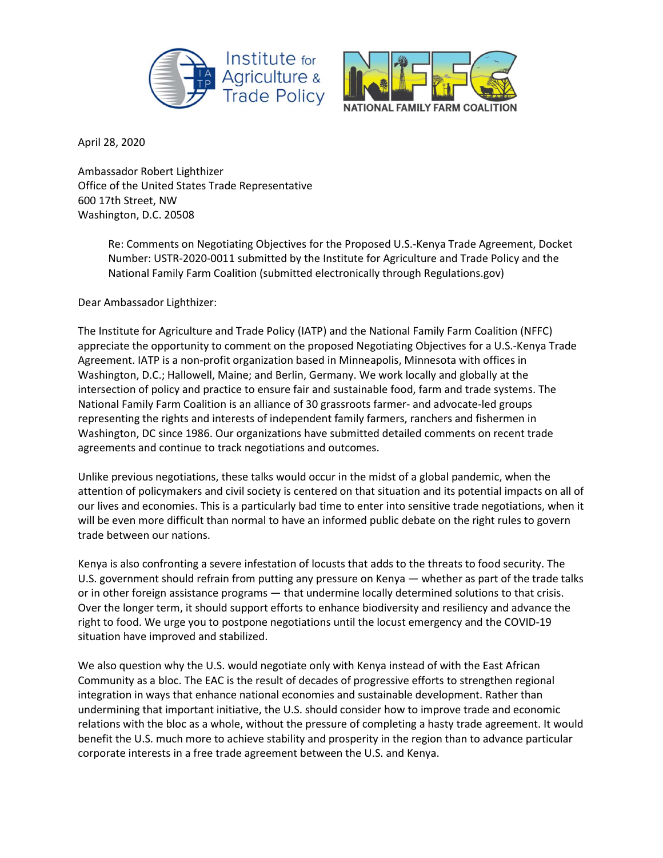



April 28, 2020

Ambassador Robert Lighthizer Office of the United States Trade Representative 600 17th Street, NW Washington, D.C. 20508

> Re: Comments on Negotiating Objectives for the Proposed U.S.-Kenya Trade Agreement, Docket Number: USTR-2020-0011 submitted by the Institute for Agriculture and Trade Policy and the National Family Farm Coalition (submitted electronically through Regulations.gov)

Dear Ambassador Lighthizer:

The Institute for Agriculture and Trade Policy (IATP) and the National Family Farm Coalition (NFFC) appreciate the opportunity to comment on the proposed Negotiating Objectives for a U.S.-Kenya Trade Agreement. IATP is a non-profit organization based in Minneapolis, Minnesota with offices in Washington, D.C.; Hallowell, Maine; and Berlin, Germany. We work locally and globally at the intersection of policy and practice to ensure fair and sustainable food, farm and trade systems. The National Family Farm Coalition is an alliance of 30 grassroots farmer- and advocate-led groups representing the rights and interests of independent family farmers, ranchers and fishermen in Washington, DC since 1986. Our organizations have submitted detailed comments on recent trade agreements and continue to track negotiations and outcomes.

Unlike previous negotiations, these talks would occur in the midst of a global pandemic, when the attention of policymakers and civil society is centered on that situation and its potential impacts on all of our lives and economies. This is a particularly bad time to enter into sensitive trade negotiations, when it will be even more difficult than normal to have an informed public debate on the right rules to govern trade between our nations.

Kenya is also confronting a severe infestation of locusts that adds to the threats to food security. The U.S. government should refrain from putting any pressure on Kenya — whether as part of the trade talks or in other foreign assistance programs — that undermine locally determined solutions to that crisis. Over the longer term, it should support efforts to enhance biodiversity and resiliency and advance the right to food. We urge you to postpone negotiations until the locust emergency and the COVID-19 situation have improved and stabilized.

We also question why the U.S. would negotiate only with Kenya instead of with the East African Community as a bloc. The EAC is the result of decades of progressive efforts to strengthen regional integration in ways that enhance national economies and sustainable development. Rather than undermining that important initiative, the U.S. should consider how to improve trade and economic relations with the bloc as a whole, without the pressure of completing a hasty trade agreement. It would benefit the U.S. much more to achieve stability and prosperity in the region than to advance particular corporate interests in a free trade agreement between the U.S. and Kenya.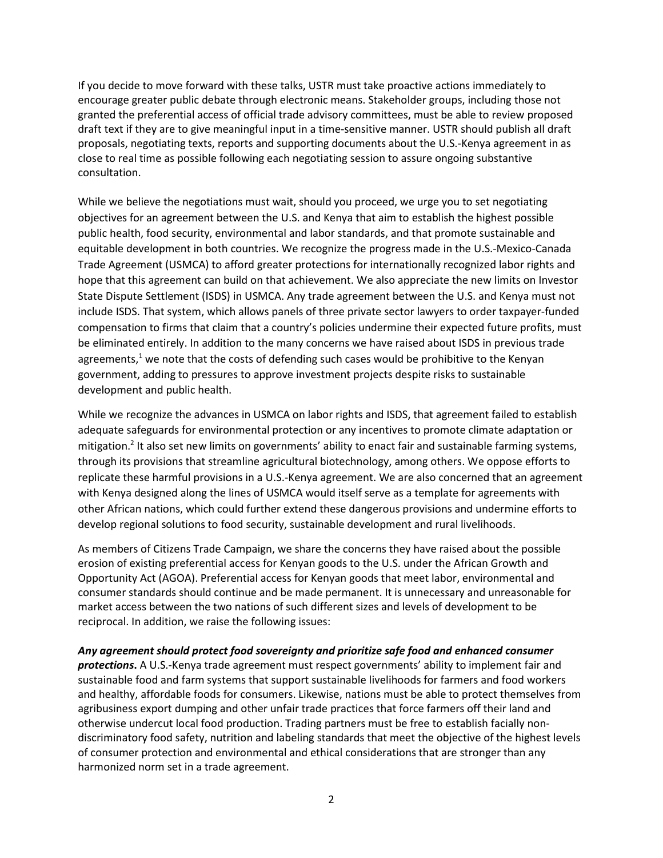If you decide to move forward with these talks, USTR must take proactive actions immediately to encourage greater public debate through electronic means. Stakeholder groups, including those not granted the preferential access of official trade advisory committees, must be able to review proposed draft text if they are to give meaningful input in a time-sensitive manner. USTR should publish all draft proposals, negotiating texts, reports and supporting documents about the U.S.-Kenya agreement in as close to real time as possible following each negotiating session to assure ongoing substantive consultation.

While we believe the negotiations must wait, should you proceed, we urge you to set negotiating objectives for an agreement between the U.S. and Kenya that aim to establish the highest possible public health, food security, environmental and labor standards, and that promote sustainable and equitable development in both countries. We recognize the progress made in the U.S.-Mexico-Canada Trade Agreement (USMCA) to afford greater protections for internationally recognized labor rights and hope that this agreement can build on that achievement. We also appreciate the new limits on Investor State Dispute Settlement (ISDS) in USMCA. Any trade agreement between the U.S. and Kenya must not include ISDS. That system, which allows panels of three private sector lawyers to order taxpayer-funded compensation to firms that claim that a country's policies undermine their expected future profits, must be eliminated entirely. In addition to the many concerns we have raised about ISDS in previous trade agreements,<sup>1</sup> we note that the costs of defending such cases would be prohibitive to the Kenyan government, adding to pressures to approve investment projects despite risks to sustainable development and public health.

While we recognize the advances in USMCA on labor rights and ISDS, that agreement failed to establish adequate safeguards for environmental protection or any incentives to promote climate adaptation or mitigation.<sup>2</sup> It also set new limits on governments' ability to enact fair and sustainable farming systems, through its provisions that streamline agricultural biotechnology, among others. We oppose efforts to replicate these harmful provisions in a U.S.-Kenya agreement. We are also concerned that an agreement with Kenya designed along the lines of USMCA would itself serve as a template for agreements with other African nations, which could further extend these dangerous provisions and undermine efforts to develop regional solutions to food security, sustainable development and rural livelihoods.

As members of Citizens Trade Campaign, we share the concerns they have raised about the possible erosion of existing preferential access for Kenyan goods to the U.S. under the African Growth and Opportunity Act (AGOA). Preferential access for Kenyan goods that meet labor, environmental and consumer standards should continue and be made permanent. It is unnecessary and unreasonable for market access between the two nations of such different sizes and levels of development to be reciprocal. In addition, we raise the following issues:

## Any agreement should protect food sovereignty and prioritize safe food and enhanced consumer

protections. A U.S.-Kenya trade agreement must respect governments' ability to implement fair and sustainable food and farm systems that support sustainable livelihoods for farmers and food workers and healthy, affordable foods for consumers. Likewise, nations must be able to protect themselves from agribusiness export dumping and other unfair trade practices that force farmers off their land and otherwise undercut local food production. Trading partners must be free to establish facially nondiscriminatory food safety, nutrition and labeling standards that meet the objective of the highest levels of consumer protection and environmental and ethical considerations that are stronger than any harmonized norm set in a trade agreement.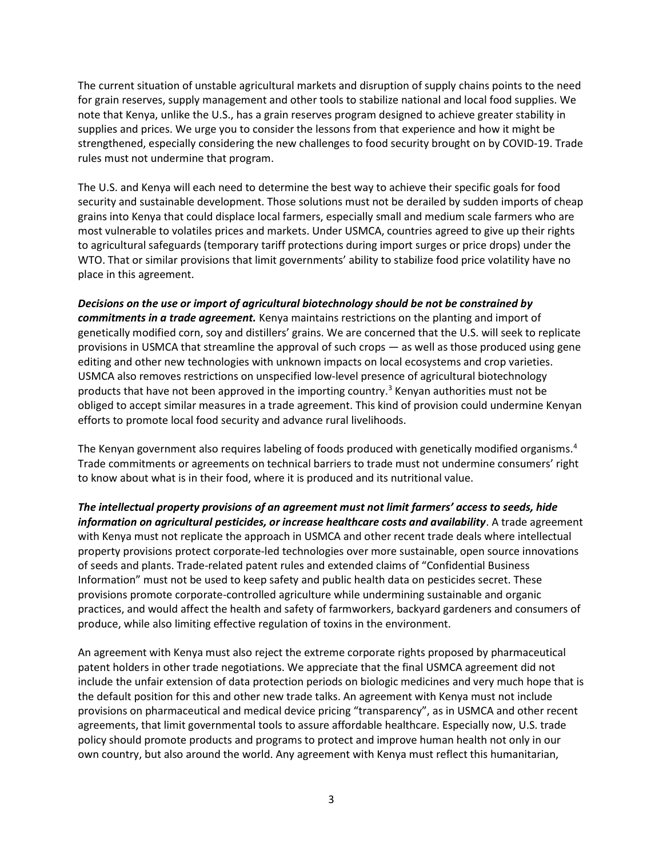The current situation of unstable agricultural markets and disruption of supply chains points to the need for grain reserves, supply management and other tools to stabilize national and local food supplies. We note that Kenya, unlike the U.S., has a grain reserves program designed to achieve greater stability in supplies and prices. We urge you to consider the lessons from that experience and how it might be strengthened, especially considering the new challenges to food security brought on by COVID-19. Trade rules must not undermine that program.

The U.S. and Kenya will each need to determine the best way to achieve their specific goals for food security and sustainable development. Those solutions must not be derailed by sudden imports of cheap grains into Kenya that could displace local farmers, especially small and medium scale farmers who are most vulnerable to volatiles prices and markets. Under USMCA, countries agreed to give up their rights to agricultural safeguards (temporary tariff protections during import surges or price drops) under the WTO. That or similar provisions that limit governments' ability to stabilize food price volatility have no place in this agreement.

Decisions on the use or import of agricultural biotechnology should be not be constrained by commitments in a trade agreement. Kenya maintains restrictions on the planting and import of genetically modified corn, soy and distillers' grains. We are concerned that the U.S. will seek to replicate provisions in USMCA that streamline the approval of such crops — as well as those produced using gene editing and other new technologies with unknown impacts on local ecosystems and crop varieties. USMCA also removes restrictions on unspecified low-level presence of agricultural biotechnology products that have not been approved in the importing country.<sup>3</sup> Kenyan authorities must not be obliged to accept similar measures in a trade agreement. This kind of provision could undermine Kenyan efforts to promote local food security and advance rural livelihoods.

The Kenyan government also requires labeling of foods produced with genetically modified organisms.<sup>4</sup> Trade commitments or agreements on technical barriers to trade must not undermine consumers' right to know about what is in their food, where it is produced and its nutritional value.

The intellectual property provisions of an agreement must not limit farmers' access to seeds, hide information on agricultural pesticides, or increase healthcare costs and availability. A trade agreement with Kenya must not replicate the approach in USMCA and other recent trade deals where intellectual property provisions protect corporate-led technologies over more sustainable, open source innovations of seeds and plants. Trade-related patent rules and extended claims of "Confidential Business Information" must not be used to keep safety and public health data on pesticides secret. These provisions promote corporate-controlled agriculture while undermining sustainable and organic practices, and would affect the health and safety of farmworkers, backyard gardeners and consumers of produce, while also limiting effective regulation of toxins in the environment.

An agreement with Kenya must also reject the extreme corporate rights proposed by pharmaceutical patent holders in other trade negotiations. We appreciate that the final USMCA agreement did not include the unfair extension of data protection periods on biologic medicines and very much hope that is the default position for this and other new trade talks. An agreement with Kenya must not include provisions on pharmaceutical and medical device pricing "transparency", as in USMCA and other recent agreements, that limit governmental tools to assure affordable healthcare. Especially now, U.S. trade policy should promote products and programs to protect and improve human health not only in our own country, but also around the world. Any agreement with Kenya must reflect this humanitarian,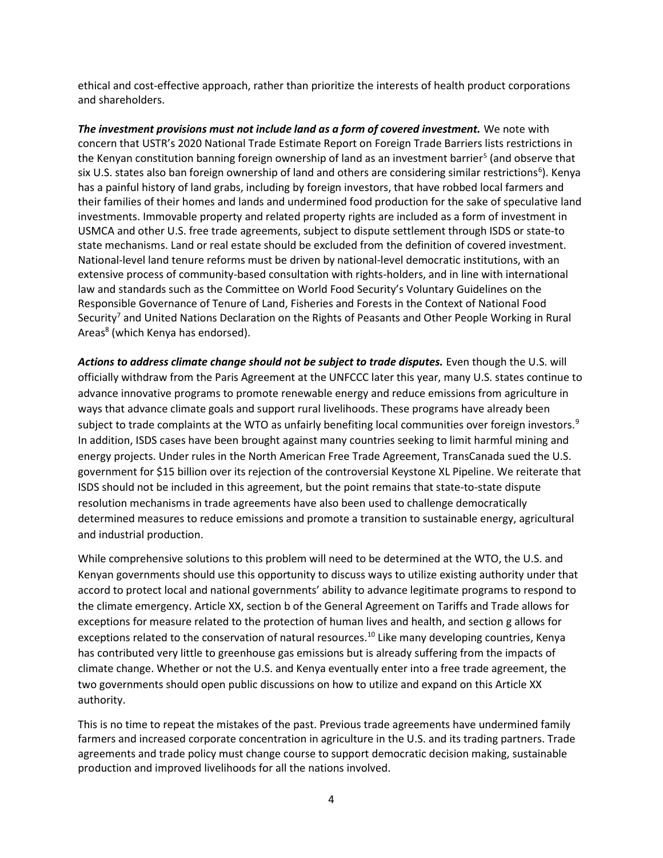ethical and cost-effective approach, rather than prioritize the interests of health product corporations and shareholders.

The investment provisions must not include land as a form of covered investment. We note with concern that USTR's 2020 National Trade Estimate Report on Foreign Trade Barriers lists restrictions in the Kenyan constitution banning foreign ownership of land as an investment barrier<sup>5</sup> (and observe that six U.S. states also ban foreign ownership of land and others are considering similar restrictions<sup>6</sup>). Kenya has a painful history of land grabs, including by foreign investors, that have robbed local farmers and their families of their homes and lands and undermined food production for the sake of speculative land investments. Immovable property and related property rights are included as a form of investment in USMCA and other U.S. free trade agreements, subject to dispute settlement through ISDS or state-to state mechanisms. Land or real estate should be excluded from the definition of covered investment. National-level land tenure reforms must be driven by national-level democratic institutions, with an extensive process of community-based consultation with rights-holders, and in line with international law and standards such as the Committee on World Food Security's Voluntary Guidelines on the Responsible Governance of Tenure of Land, Fisheries and Forests in the Context of National Food Security<sup>7</sup> and United Nations Declaration on the Rights of Peasants and Other People Working in Rural Areas<sup>8</sup> (which Kenya has endorsed).

Actions to address climate change should not be subject to trade disputes. Even though the U.S. will officially withdraw from the Paris Agreement at the UNFCCC later this year, many U.S. states continue to advance innovative programs to promote renewable energy and reduce emissions from agriculture in ways that advance climate goals and support rural livelihoods. These programs have already been subject to trade complaints at the WTO as unfairly benefiting local communities over foreign investors.<sup>9</sup> In addition, ISDS cases have been brought against many countries seeking to limit harmful mining and energy projects. Under rules in the North American Free Trade Agreement, TransCanada sued the U.S. government for \$15 billion over its rejection of the controversial Keystone XL Pipeline. We reiterate that ISDS should not be included in this agreement, but the point remains that state-to-state dispute resolution mechanisms in trade agreements have also been used to challenge democratically determined measures to reduce emissions and promote a transition to sustainable energy, agricultural and industrial production.

While comprehensive solutions to this problem will need to be determined at the WTO, the U.S. and Kenyan governments should use this opportunity to discuss ways to utilize existing authority under that accord to protect local and national governments' ability to advance legitimate programs to respond to the climate emergency. Article XX, section b of the General Agreement on Tariffs and Trade allows for exceptions for measure related to the protection of human lives and health, and section g allows for exceptions related to the conservation of natural resources.<sup>10</sup> Like many developing countries, Kenya has contributed very little to greenhouse gas emissions but is already suffering from the impacts of climate change. Whether or not the U.S. and Kenya eventually enter into a free trade agreement, the two governments should open public discussions on how to utilize and expand on this Article XX authority.

This is no time to repeat the mistakes of the past. Previous trade agreements have undermined family farmers and increased corporate concentration in agriculture in the U.S. and its trading partners. Trade agreements and trade policy must change course to support democratic decision making, sustainable production and improved livelihoods for all the nations involved.